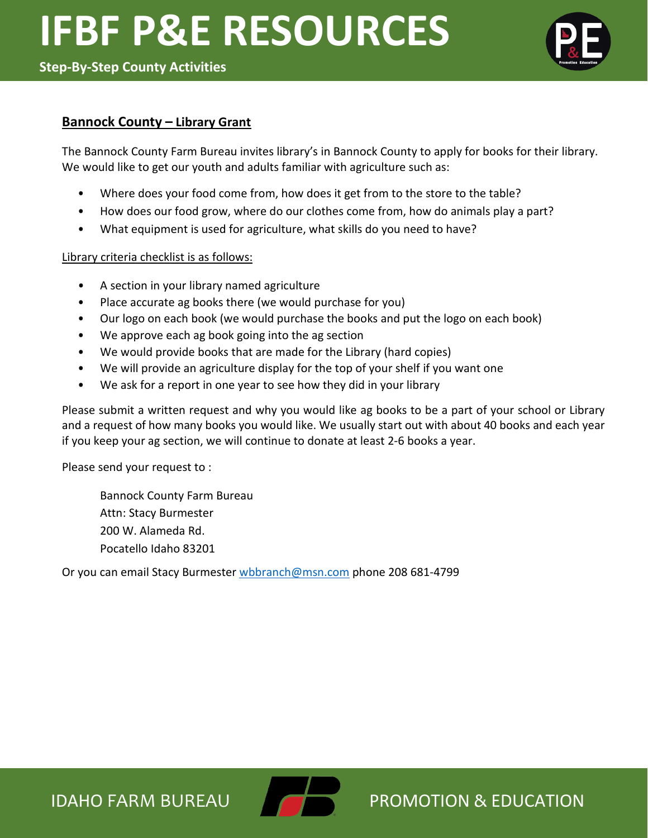

# **Bannock County – Library Grant**

The Bannock County Farm Bureau invites library's in Bannock County to apply for books for their library. We would like to get our youth and adults familiar with agriculture such as:

- Where does your food come from, how does it get from to the store to the table?
- How does our food grow, where do our clothes come from, how do animals play a part?
- What equipment is used for agriculture, what skills do you need to have?

### Library criteria checklist is as follows:

- A section in your library named agriculture
- Place accurate ag books there (we would purchase for you)
- Our logo on each book (we would purchase the books and put the logo on each book)
- We approve each ag book going into the ag section
- We would provide books that are made for the Library (hard copies)
- We will provide an agriculture display for the top of your shelf if you want one
- We ask for a report in one year to see how they did in your library

Please submit a written request and why you would like ag books to be a part of your school or Library and a request of how many books you would like. We usually start out with about 40 books and each year if you keep your ag section, we will continue to donate at least 2-6 books a year.

Please send your request to :

Bannock County Farm Bureau Attn: Stacy Burmester 200 W. Alameda Rd. Pocatello Idaho 83201

Or you can email Stacy Burmester [wbbranch@msn.com](mailto:wbbranch@msn.com) phone 208 681-4799

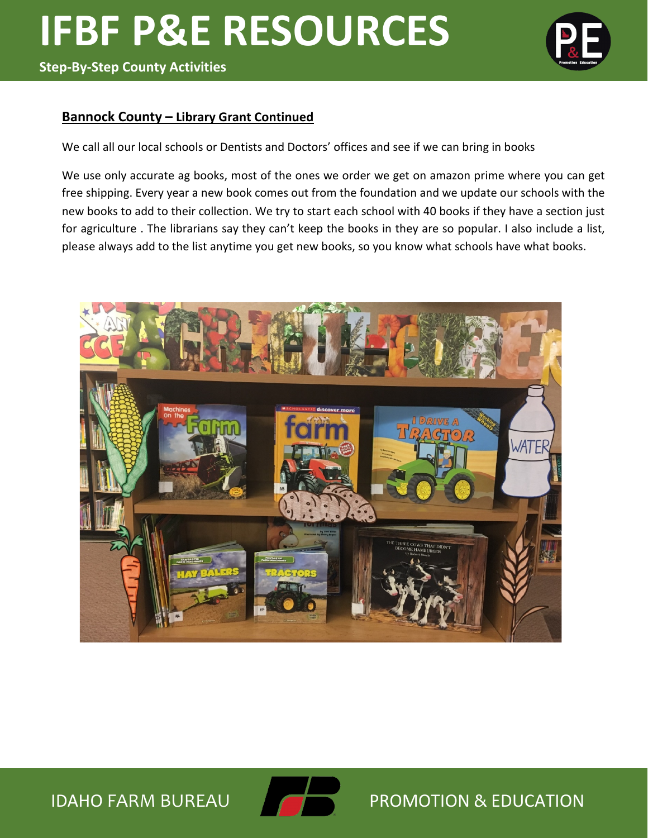

### **Bannock County – Library Grant Continued**

We call all our local schools or Dentists and Doctors' offices and see if we can bring in books

We use only accurate ag books, most of the ones we order we get on amazon prime where you can get free shipping. Every year a new book comes out from the foundation and we update our schools with the new books to add to their collection. We try to start each school with 40 books if they have a section just for agriculture . The librarians say they can't keep the books in they are so popular. I also include a list, please always add to the list anytime you get new books, so you know what schools have what books.



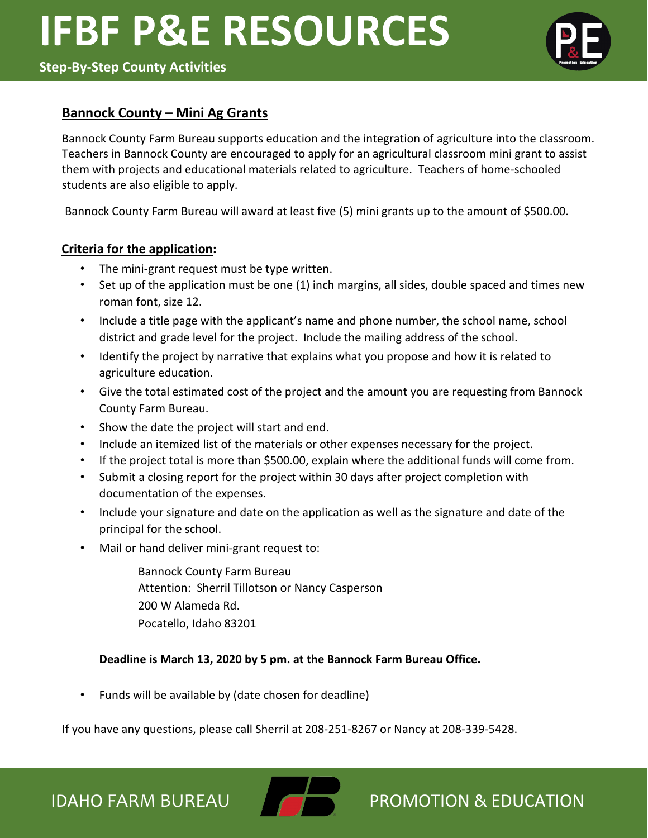

# **Bannock County – Mini Ag Grants**

Bannock County Farm Bureau supports education and the integration of agriculture into the classroom. Teachers in Bannock County are encouraged to apply for an agricultural classroom mini grant to assist them with projects and educational materials related to agriculture. Teachers of home-schooled students are also eligible to apply.

Bannock County Farm Bureau will award at least five (5) mini grants up to the amount of \$500.00.

### **Criteria for the application:**

- The mini-grant request must be type written.
- Set up of the application must be one (1) inch margins, all sides, double spaced and times new roman font, size 12.
- Include a title page with the applicant's name and phone number, the school name, school district and grade level for the project. Include the mailing address of the school.
- Identify the project by narrative that explains what you propose and how it is related to agriculture education.
- Give the total estimated cost of the project and the amount you are requesting from Bannock County Farm Bureau.
- Show the date the project will start and end.
- Include an itemized list of the materials or other expenses necessary for the project.
- If the project total is more than \$500.00, explain where the additional funds will come from.
- Submit a closing report for the project within 30 days after project completion with documentation of the expenses.
- Include your signature and date on the application as well as the signature and date of the principal for the school.
- Mail or hand deliver mini-grant request to:

 Bannock County Farm Bureau Attention: Sherril Tillotson or Nancy Casperson 200 W Alameda Rd. Pocatello, Idaho 83201

# **Deadline is March 13, 2020 by 5 pm. at the Bannock Farm Bureau Office.**

• Funds will be available by (date chosen for deadline)

If you have any questions, please call Sherril at 208-251-8267 or Nancy at 208-339-5428.

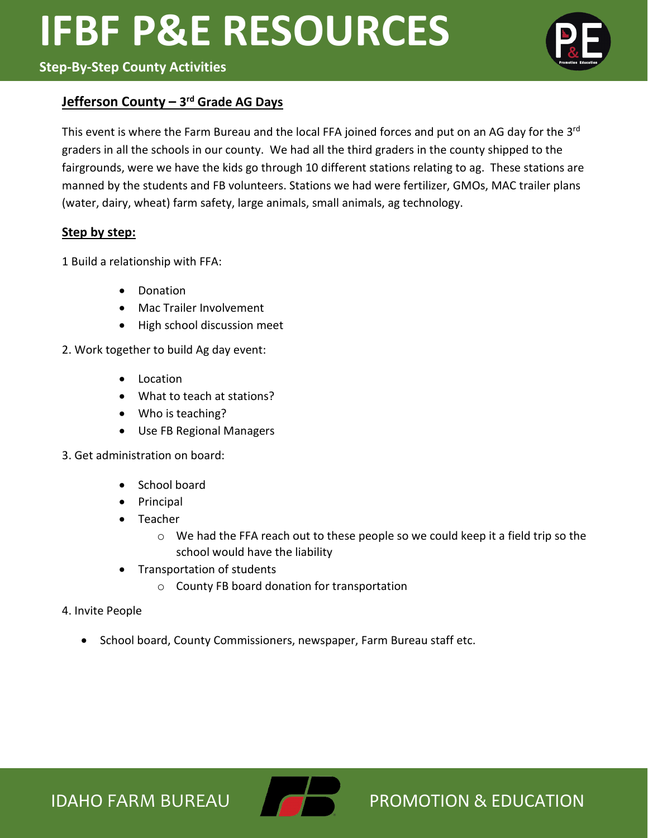# **Step-By-Step County Activities**

# **Jefferson County – 3rd Grade AG Days**

This event is where the Farm Bureau and the local FFA joined forces and put on an AG day for the 3<sup>rd</sup> graders in all the schools in our county. We had all the third graders in the county shipped to the fairgrounds, were we have the kids go through 10 different stations relating to ag. These stations are manned by the students and FB volunteers. Stations we had were fertilizer, GMOs, MAC trailer plans (water, dairy, wheat) farm safety, large animals, small animals, ag technology.

### **Step by step:**

1 Build a relationship with FFA:

- Donation
- Mac Trailer Involvement
- High school discussion meet

2. Work together to build Ag day event:

- Location
- What to teach at stations?
- Who is teaching?
- Use FB Regional Managers

3. Get administration on board:

- School board
- Principal
- Teacher
	- o We had the FFA reach out to these people so we could keep it a field trip so the school would have the liability
- Transportation of students
	- o County FB board donation for transportation
- 4. Invite People
	- School board, County Commissioners, newspaper, Farm Bureau staff etc.





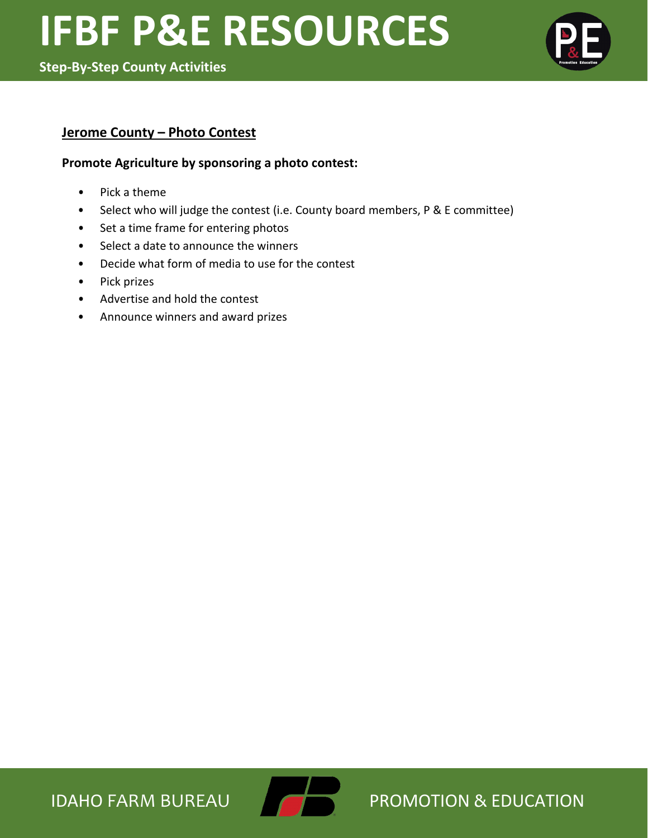

# **Jerome County – Photo Contest**

#### **Promote Agriculture by sponsoring a photo contest:**

- Pick a theme
- Select who will judge the contest (i.e. County board members, P & E committee)
- Set a time frame for entering photos
- Select a date to announce the winners
- Decide what form of media to use for the contest
- Pick prizes
- Advertise and hold the contest
- Announce winners and award prizes

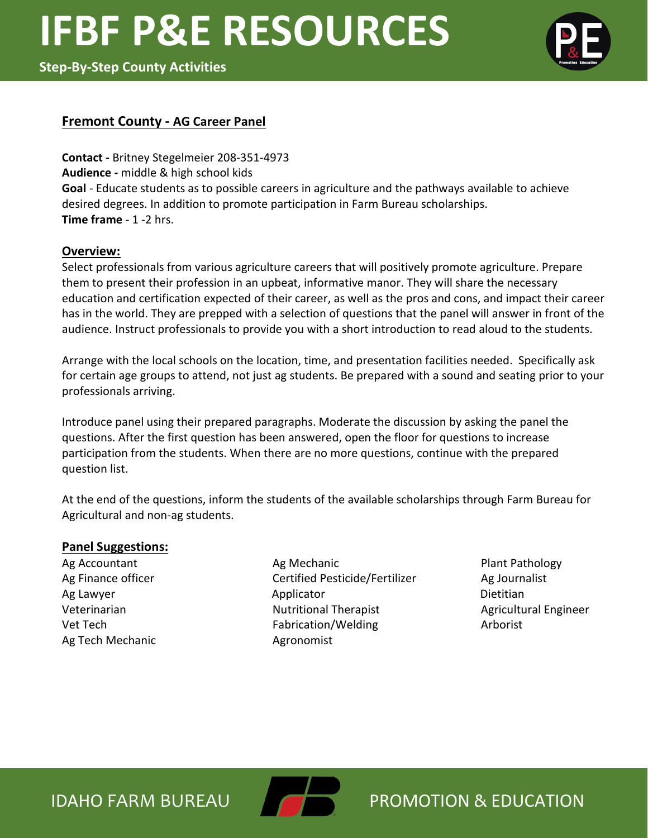

### **Fremont County - AG Career Panel**

**Contact -** Britney Stegelmeier 208-351-4973 **Audience -** middle & high school kids **Goal** - Educate students as to possible careers in agriculture and the pathways available to achieve desired degrees. In addition to promote participation in Farm Bureau scholarships. **Time frame** - 1 -2 hrs.

#### **Overview:**

Select professionals from various agriculture careers that will positively promote agriculture. Prepare them to present their profession in an upbeat, informative manor. They will share the necessary education and certification expected of their career, as well as the pros and cons, and impact their career has in the world. They are prepped with a selection of questions that the panel will answer in front of the audience. Instruct professionals to provide you with a short introduction to read aloud to the students.

Arrange with the local schools on the location, time, and presentation facilities needed. Specifically ask for certain age groups to attend, not just ag students. Be prepared with a sound and seating prior to your professionals arriving.

Introduce panel using their prepared paragraphs. Moderate the discussion by asking the panel the questions. After the first question has been answered, open the floor for questions to increase participation from the students. When there are no more questions, continue with the prepared question list.

At the end of the questions, inform the students of the available scholarships through Farm Bureau for Agricultural and non-ag students.

#### **Panel Suggestions:**

Ag Tech Mechanic **Agronomist** 

Ag Accountant **Ag Mechanic** Ag Mechanic **Ag Accountant** Plant Pathology Ag Finance officer **Certified Pesticide/Fertilizer** Ag Journalist Ag Lawyer **Applicator** Applicator **Application Dietitian** Veterinarian **Nutritional Therapist** Agricultural Engineer **Nutritional Therapist** Agricultural Engineer Vet Tech **Fabrication/Welding** Arborist

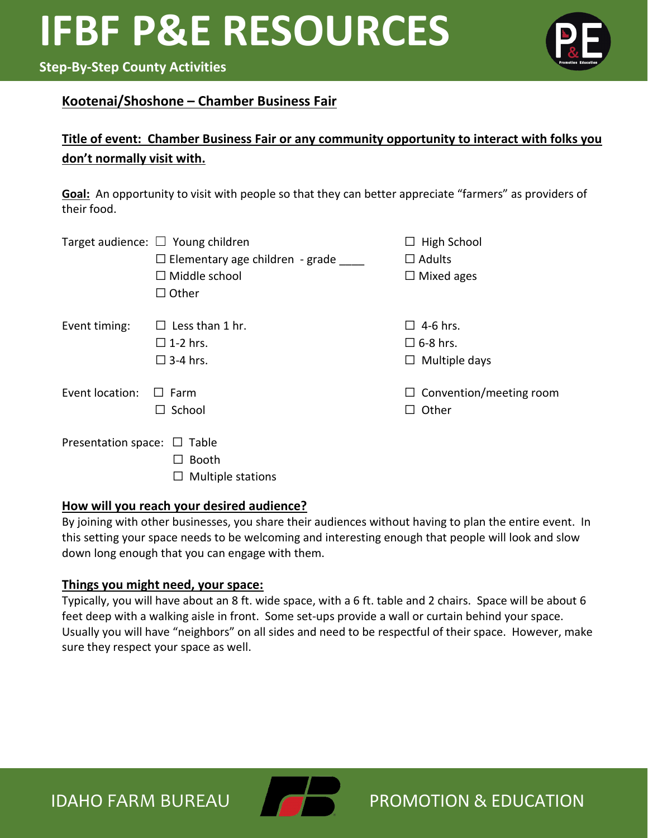# **Step-By-Step County Activities**

# **Kootenai/Shoshone – Chamber Business Fair**

# **Title of event: Chamber Business Fair or any community opportunity to interact with folks you don't normally visit with.**

**Goal:** An opportunity to visit with people so that they can better appreciate "farmers" as providers of their food.

|                                  | Target audience: $\Box$ Young children | $\Box$ High School             |
|----------------------------------|----------------------------------------|--------------------------------|
|                                  | $\Box$ Elementary age children - grade | $\Box$ Adults                  |
|                                  | $\Box$ Middle school                   | $\Box$ Mixed ages              |
|                                  | $\Box$ Other                           |                                |
| Event timing:                    | $\Box$ Less than 1 hr.                 | $\Box$ 4-6 hrs.                |
|                                  | $\square$ 1-2 hrs.                     | $\square$ 6-8 hrs.             |
|                                  | $\square$ 3-4 hrs.                     | $\Box$ Multiple days           |
| Event location:                  | $\square$ Farm                         | $\Box$ Convention/meeting room |
|                                  | $\Box$ School                          | Other<br>ΙI                    |
| Presentation space: $\Box$ Table |                                        |                                |
|                                  | <b>Booth</b>                           |                                |
|                                  | Multiple stations                      |                                |

# **How will you reach your desired audience?**

By joining with other businesses, you share their audiences without having to plan the entire event. In this setting your space needs to be welcoming and interesting enough that people will look and slow down long enough that you can engage with them.

# **Things you might need, your space:**

Typically, you will have about an 8 ft. wide space, with a 6 ft. table and 2 chairs. Space will be about 6 feet deep with a walking aisle in front. Some set-ups provide a wall or curtain behind your space. Usually you will have "neighbors" on all sides and need to be respectful of their space. However, make sure they respect your space as well.

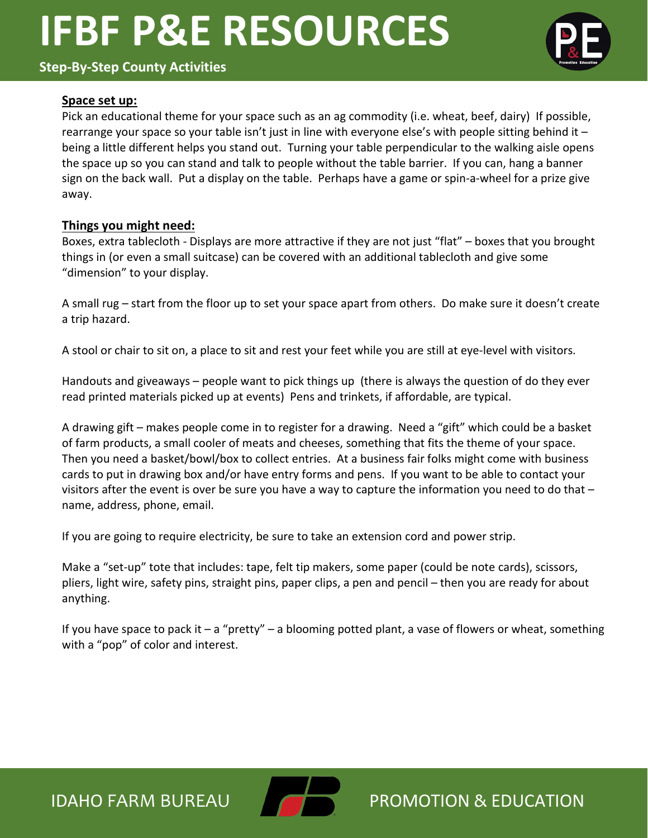### **Step-By-Step County Activities**



#### **Space set up:**

Pick an educational theme for your space such as an ag commodity (i.e. wheat, beef, dairy) If possible, rearrange your space so your table isn't just in line with everyone else's with people sitting behind it  $$ being a little different helps you stand out. Turning your table perpendicular to the walking aisle opens the space up so you can stand and talk to people without the table barrier. If you can, hang a banner sign on the back wall. Put a display on the table. Perhaps have a game or spin-a-wheel for a prize give away.

#### **Things you might need:**

Boxes, extra tablecloth - Displays are more attractive if they are not just "flat" – boxes that you brought things in (or even a small suitcase) can be covered with an additional tablecloth and give some "dimension" to your display.

A small rug – start from the floor up to set your space apart from others. Do make sure it doesn't create a trip hazard.

A stool or chair to sit on, a place to sit and rest your feet while you are still at eye-level with visitors.

Handouts and giveaways – people want to pick things up (there is always the question of do they ever read printed materials picked up at events) Pens and trinkets, if affordable, are typical.

A drawing gift – makes people come in to register for a drawing. Need a "gift" which could be a basket of farm products, a small cooler of meats and cheeses, something that fits the theme of your space. Then you need a basket/bowl/box to collect entries. At a business fair folks might come with business cards to put in drawing box and/or have entry forms and pens. If you want to be able to contact your visitors after the event is over be sure you have a way to capture the information you need to do that – name, address, phone, email.

If you are going to require electricity, be sure to take an extension cord and power strip.

Make a "set-up" tote that includes: tape, felt tip makers, some paper (could be note cards), scissors, pliers, light wire, safety pins, straight pins, paper clips, a pen and pencil – then you are ready for about anything.

If you have space to pack it  $-$  a "pretty"  $-$  a blooming potted plant, a vase of flowers or wheat, something with a "pop" of color and interest.



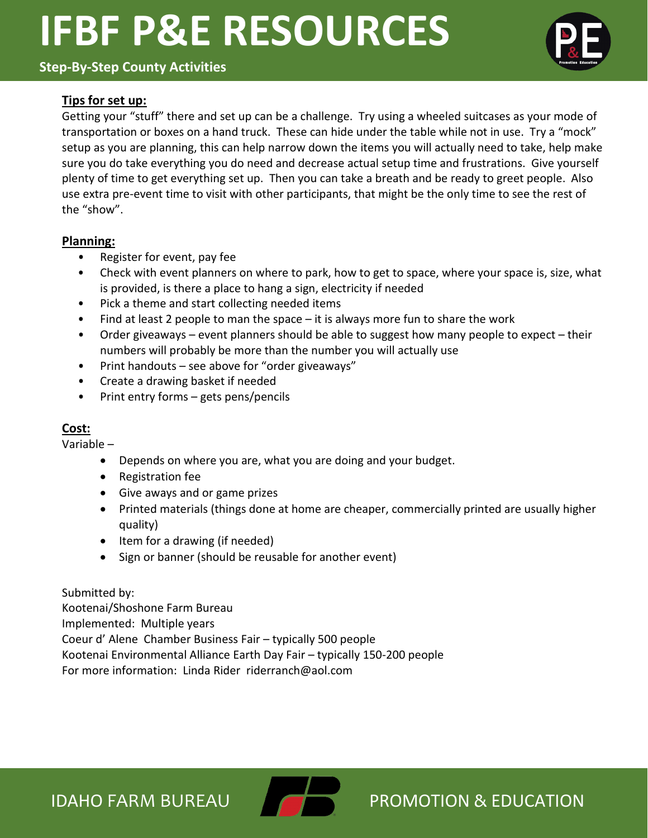**Step-By-Step County Activities**

# **Tips for set up:**

Getting your "stuff" there and set up can be a challenge. Try using a wheeled suitcases as your mode of transportation or boxes on a hand truck. These can hide under the table while not in use. Try a "mock" setup as you are planning, this can help narrow down the items you will actually need to take, help make sure you do take everything you do need and decrease actual setup time and frustrations. Give yourself plenty of time to get everything set up. Then you can take a breath and be ready to greet people. Also use extra pre-event time to visit with other participants, that might be the only time to see the rest of the "show".

### **Planning:**

- Register for event, pay fee
- Check with event planners on where to park, how to get to space, where your space is, size, what is provided, is there a place to hang a sign, electricity if needed
- Pick a theme and start collecting needed items
- Find at least 2 people to man the space it is always more fun to share the work
- Order giveaways event planners should be able to suggest how many people to expect their numbers will probably be more than the number you will actually use
- Print handouts see above for "order giveaways"
- Create a drawing basket if needed
- Print entry forms gets pens/pencils

# **Cost:**

Variable –

- Depends on where you are, what you are doing and your budget.
- Registration fee
- Give aways and or game prizes
- Printed materials (things done at home are cheaper, commercially printed are usually higher quality)
- Item for a drawing (if needed)
- Sign or banner (should be reusable for another event)

Submitted by: Kootenai/Shoshone Farm Bureau Implemented: Multiple years Coeur d' Alene Chamber Business Fair – typically 500 people Kootenai Environmental Alliance Earth Day Fair – typically 150-200 people For more information: Linda Rider riderranch@aol.com



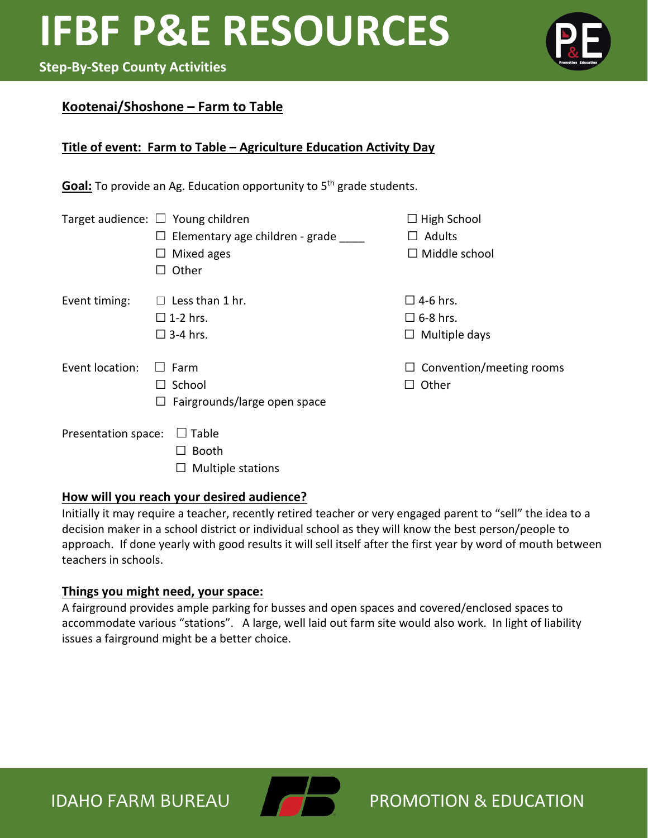# **Step-By-Step County Activities**

# **Kootenai/Shoshone – Farm to Table**

# **Title of event: Farm to Table – Agriculture Education Activity Day**

Goal: To provide an Ag. Education opportunity to 5<sup>th</sup> grade students.

|                     | Target audience: $\Box$ Young children<br>Elementary age children - grade<br>Mixed ages<br>ப<br>Other | $\Box$ High School<br>$\Box$ Adults<br>$\Box$ Middle school    |
|---------------------|-------------------------------------------------------------------------------------------------------|----------------------------------------------------------------|
| Event timing:       | $\Box$ Less than 1 hr.<br>$\square$ 1-2 hrs.<br>$\square$ 3-4 hrs.                                    | $\square$ 4-6 hrs.<br>$\square$ 6-8 hrs.<br>Multiple days<br>⊔ |
| Event location:     | $\Box$ Farm<br>School<br>Fairgrounds/large open space                                                 | $\Box$ Convention/meeting rooms<br>Other                       |
| Presentation space: | $\Box$ Table<br><b>Booth</b>                                                                          |                                                                |

# **How will you reach your desired audience?**

 $\Box$  Multiple stations

Initially it may require a teacher, recently retired teacher or very engaged parent to "sell" the idea to a decision maker in a school district or individual school as they will know the best person/people to approach. If done yearly with good results it will sell itself after the first year by word of mouth between teachers in schools.

# **Things you might need, your space:**

A fairground provides ample parking for busses and open spaces and covered/enclosed spaces to accommodate various "stations". A large, well laid out farm site would also work. In light of liability issues a fairground might be a better choice.





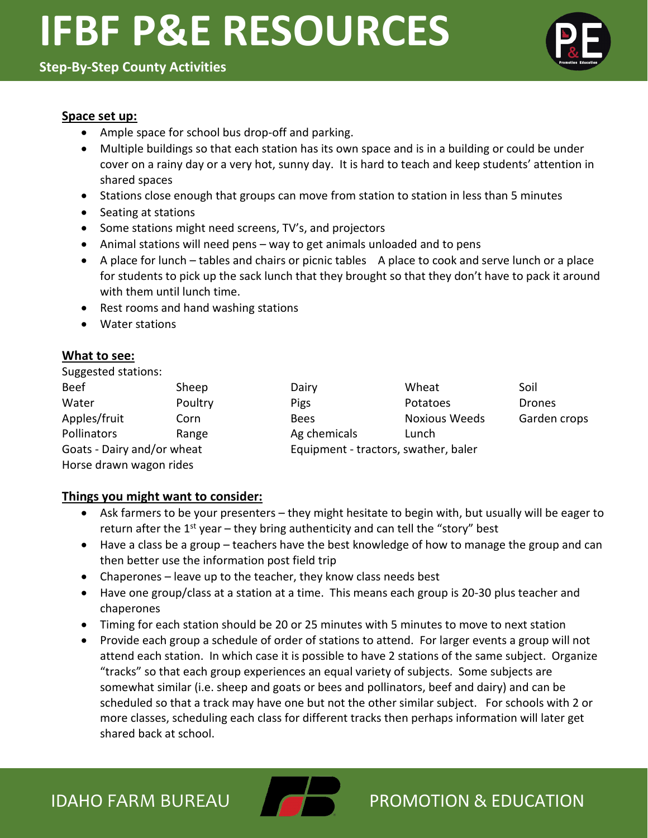### **Step-By-Step County Activities**



#### **Space set up:**

- Ample space for school bus drop-off and parking.
- Multiple buildings so that each station has its own space and is in a building or could be under cover on a rainy day or a very hot, sunny day. It is hard to teach and keep students' attention in shared spaces
- Stations close enough that groups can move from station to station in less than 5 minutes
- Seating at stations
- Some stations might need screens, TV's, and projectors
- Animal stations will need pens way to get animals unloaded and to pens
- A place for lunch tables and chairs or picnic tables A place to cook and serve lunch or a place for students to pick up the sack lunch that they brought so that they don't have to pack it around with them until lunch time.
- Rest rooms and hand washing stations
- Water stations

### **What to see:**

| Suggested stations: |  |
|---------------------|--|
|---------------------|--|

| <b>Beef</b>                | Sheep   |  |
|----------------------------|---------|--|
| Water                      | Poultry |  |
| Apples/fruit               | Corn    |  |
| Pollinators                | Range   |  |
| Goats - Dairy and/or wheat |         |  |
| Horse drawn wagon rides    |         |  |

Beef Sheep Dairy Dairy Wheat Soil Water **Poultry** Pigs Potatoes Drones Bees Noxious Weeds Garden crops Ag chemicals Lunch Equipment - tractors, swather, baler

# **Things you might want to consider:**

- Ask farmers to be your presenters they might hesitate to begin with, but usually will be eager to return after the  $1^{st}$  year – they bring authenticity and can tell the "story" best
- Have a class be a group teachers have the best knowledge of how to manage the group and can then better use the information post field trip
- Chaperones leave up to the teacher, they know class needs best
- Have one group/class at a station at a time. This means each group is 20-30 plus teacher and chaperones
- Timing for each station should be 20 or 25 minutes with 5 minutes to move to next station
- Provide each group a schedule of order of stations to attend. For larger events a group will not attend each station. In which case it is possible to have 2 stations of the same subject. Organize "tracks" so that each group experiences an equal variety of subjects. Some subjects are somewhat similar (i.e. sheep and goats or bees and pollinators, beef and dairy) and can be scheduled so that a track may have one but not the other similar subject. For schools with 2 or more classes, scheduling each class for different tracks then perhaps information will later get shared back at school.

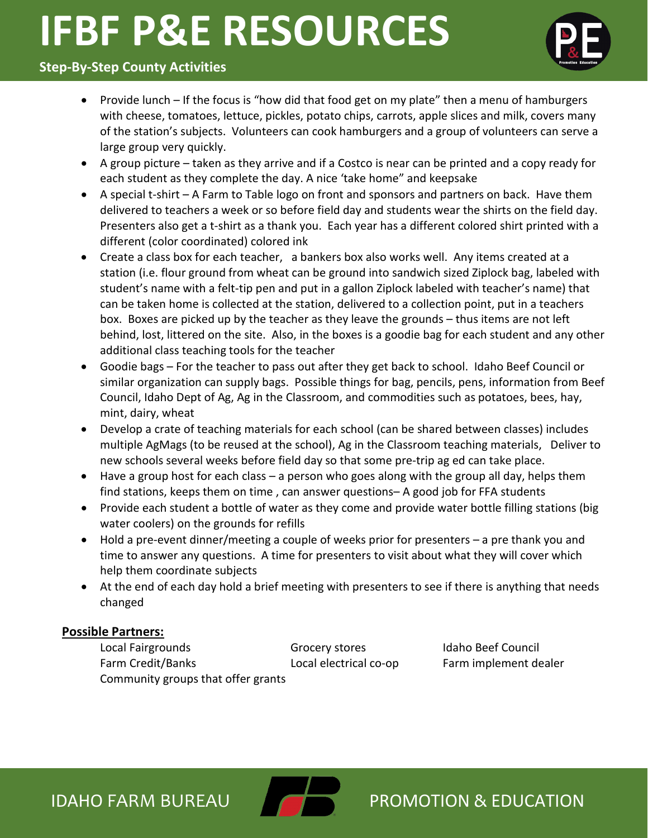

# **Step-By-Step County Activities**

- Provide lunch If the focus is "how did that food get on my plate" then a menu of hamburgers with cheese, tomatoes, lettuce, pickles, potato chips, carrots, apple slices and milk, covers many of the station's subjects. Volunteers can cook hamburgers and a group of volunteers can serve a large group very quickly.
- A group picture taken as they arrive and if a Costco is near can be printed and a copy ready for each student as they complete the day. A nice 'take home" and keepsake
- A special t-shirt A Farm to Table logo on front and sponsors and partners on back. Have them delivered to teachers a week or so before field day and students wear the shirts on the field day. Presenters also get a t-shirt as a thank you. Each year has a different colored shirt printed with a different (color coordinated) colored ink
- Create a class box for each teacher, a bankers box also works well. Any items created at a station (i.e. flour ground from wheat can be ground into sandwich sized Ziplock bag, labeled with student's name with a felt-tip pen and put in a gallon Ziplock labeled with teacher's name) that can be taken home is collected at the station, delivered to a collection point, put in a teachers box. Boxes are picked up by the teacher as they leave the grounds – thus items are not left behind, lost, littered on the site. Also, in the boxes is a goodie bag for each student and any other additional class teaching tools for the teacher
- Goodie bags For the teacher to pass out after they get back to school. Idaho Beef Council or similar organization can supply bags. Possible things for bag, pencils, pens, information from Beef Council, Idaho Dept of Ag, Ag in the Classroom, and commodities such as potatoes, bees, hay, mint, dairy, wheat
- Develop a crate of teaching materials for each school (can be shared between classes) includes multiple AgMags (to be reused at the school), Ag in the Classroom teaching materials, Deliver to new schools several weeks before field day so that some pre-trip ag ed can take place.
- Have a group host for each class a person who goes along with the group all day, helps them find stations, keeps them on time , can answer questions– A good job for FFA students
- Provide each student a bottle of water as they come and provide water bottle filling stations (big water coolers) on the grounds for refills
- Hold a pre-event dinner/meeting a couple of weeks prior for presenters a pre thank you and time to answer any questions. A time for presenters to visit about what they will cover which help them coordinate subjects
- At the end of each day hold a brief meeting with presenters to see if there is anything that needs changed

### **Possible Partners:**

Local Fairgrounds Grocery stores Idaho Beef Council Farm Credit/Banks Local electrical co-op Farm implement dealer Community groups that offer grants

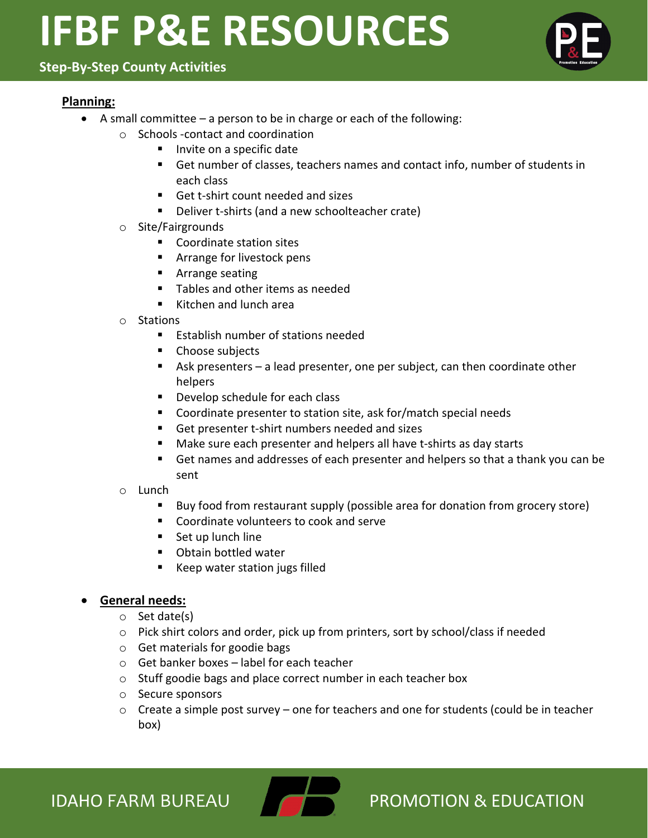**Step-By-Step County Activities**

# **Planning:**

- A small committee a person to be in charge or each of the following:
	- o Schools -contact and coordination
		- Invite on a specific date
		- Get number of classes, teachers names and contact info, number of students in each class
		- Get t-shirt count needed and sizes
		- **Deliver t-shirts (and a new schoolteacher crate)**
	- o Site/Fairgrounds
		- Coordinate station sites
		- **EXTERG** For livestock pens
		- **Arrange seating**
		- Tables and other items as needed
		- Kitchen and lunch area
	- o Stations
		- Establish number of stations needed
		- Choose subjects
		- Ask presenters a lead presenter, one per subject, can then coordinate other helpers
		- **Develop schedule for each class**
		- Coordinate presenter to station site, ask for/match special needs
		- Get presenter t-shirt numbers needed and sizes
		- Make sure each presenter and helpers all have t-shirts as day starts
		- Get names and addresses of each presenter and helpers so that a thank you can be sent
	- o Lunch
		- Buy food from restaurant supply (possible area for donation from grocery store)
		- Coordinate volunteers to cook and serve
		- Set up lunch line
		- **D** Obtain bottled water
		- Keep water station jugs filled

# • **General needs:**

- o Set date(s)
- o Pick shirt colors and order, pick up from printers, sort by school/class if needed
- o Get materials for goodie bags
- o Get banker boxes label for each teacher
- o Stuff goodie bags and place correct number in each teacher box
- o Secure sponsors
- o Create a simple post survey one for teachers and one for students (could be in teacher box)



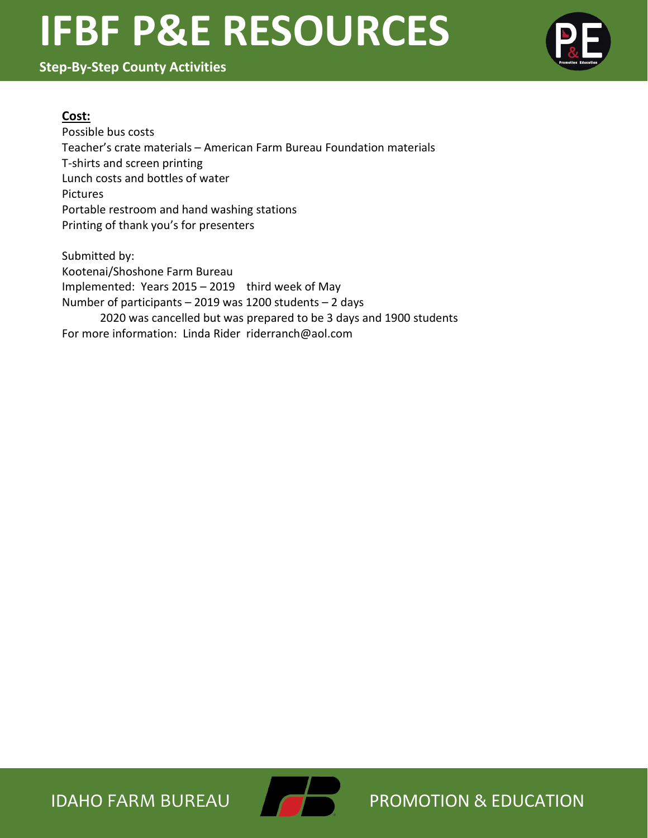**Step-By-Step County Activities**



### **Cost:**

Possible bus costs Teacher's crate materials – American Farm Bureau Foundation materials T-shirts and screen printing Lunch costs and bottles of water Pictures Portable restroom and hand washing stations Printing of thank you's for presenters

Submitted by: Kootenai/Shoshone Farm Bureau Implemented: Years 2015 – 2019 third week of May Number of participants – 2019 was 1200 students – 2 days 2020 was cancelled but was prepared to be 3 days and 1900 students For more information: Linda Rider riderranch@aol.com

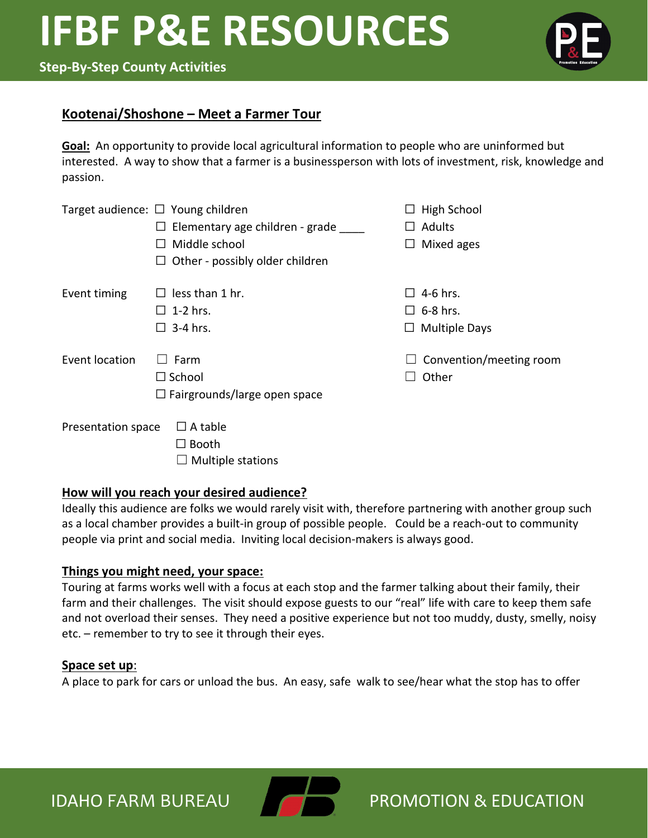### **Step-By-Step County Activities**



### **Kootenai/Shoshone – Meet a Farmer Tour**

**Goal:** An opportunity to provide local agricultural information to people who are uninformed but interested. A way to show that a farmer is a businessperson with lots of investment, risk, knowledge and passion.

|                    | Target audience: $\Box$ Young children | $\Box$ High School      |
|--------------------|----------------------------------------|-------------------------|
|                    | $\Box$ Elementary age children - grade | $\Box$ Adults           |
|                    | $\Box$ Middle school                   | $\Box$ Mixed ages       |
|                    | $\Box$ Other - possibly older children |                         |
| Event timing       | $\Box$ less than 1 hr.                 | $\Box$ 4-6 hrs.         |
|                    | $\Box$ 1-2 hrs.                        | $\square$ 6-8 hrs.      |
|                    | $\Box$ 3-4 hrs.                        | $\Box$ Multiple Days    |
| Event location     | Farm                                   | Convention/meeting room |
|                    | $\Box$ School                          | Other                   |
|                    | $\Box$ Fairgrounds/large open space    |                         |
| Presentation space | $\Box$ A table                         |                         |
|                    | <b>Booth</b>                           |                         |

### **How will you reach your desired audience?**

 $\Box$  Multiple stations

Ideally this audience are folks we would rarely visit with, therefore partnering with another group such as a local chamber provides a built-in group of possible people. Could be a reach-out to community people via print and social media. Inviting local decision-makers is always good.

### **Things you might need, your space:**

Touring at farms works well with a focus at each stop and the farmer talking about their family, their farm and their challenges. The visit should expose guests to our "real" life with care to keep them safe and not overload their senses. They need a positive experience but not too muddy, dusty, smelly, noisy etc. – remember to try to see it through their eyes.

#### **Space set up**:

A place to park for cars or unload the bus. An easy, safe walk to see/hear what the stop has to offer

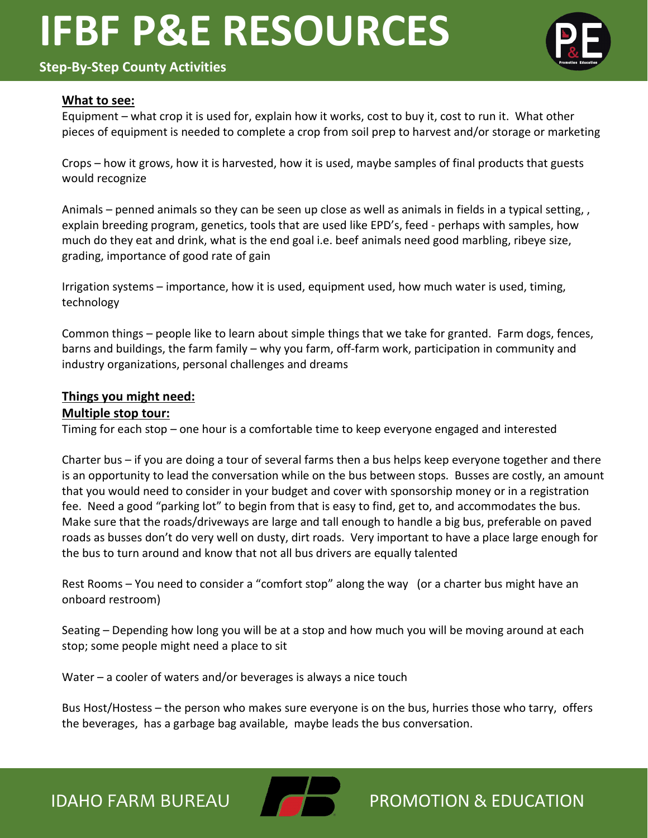# **Step-By-Step County Activities**



#### **What to see:**

Equipment – what crop it is used for, explain how it works, cost to buy it, cost to run it. What other pieces of equipment is needed to complete a crop from soil prep to harvest and/or storage or marketing

Crops – how it grows, how it is harvested, how it is used, maybe samples of final products that guests would recognize

Animals – penned animals so they can be seen up close as well as animals in fields in a typical setting, , explain breeding program, genetics, tools that are used like EPD's, feed - perhaps with samples, how much do they eat and drink, what is the end goal i.e. beef animals need good marbling, ribeye size, grading, importance of good rate of gain

Irrigation systems – importance, how it is used, equipment used, how much water is used, timing, technology

Common things – people like to learn about simple things that we take for granted. Farm dogs, fences, barns and buildings, the farm family – why you farm, off-farm work, participation in community and industry organizations, personal challenges and dreams

#### **Things you might need:**

#### **Multiple stop tour:**

Timing for each stop – one hour is a comfortable time to keep everyone engaged and interested

Charter bus – if you are doing a tour of several farms then a bus helps keep everyone together and there is an opportunity to lead the conversation while on the bus between stops. Busses are costly, an amount that you would need to consider in your budget and cover with sponsorship money or in a registration fee. Need a good "parking lot" to begin from that is easy to find, get to, and accommodates the bus. Make sure that the roads/driveways are large and tall enough to handle a big bus, preferable on paved roads as busses don't do very well on dusty, dirt roads. Very important to have a place large enough for the bus to turn around and know that not all bus drivers are equally talented

Rest Rooms – You need to consider a "comfort stop" along the way (or a charter bus might have an onboard restroom)

Seating – Depending how long you will be at a stop and how much you will be moving around at each stop; some people might need a place to sit

Water – a cooler of waters and/or beverages is always a nice touch

Bus Host/Hostess – the person who makes sure everyone is on the bus, hurries those who tarry, offers the beverages, has a garbage bag available, maybe leads the bus conversation.



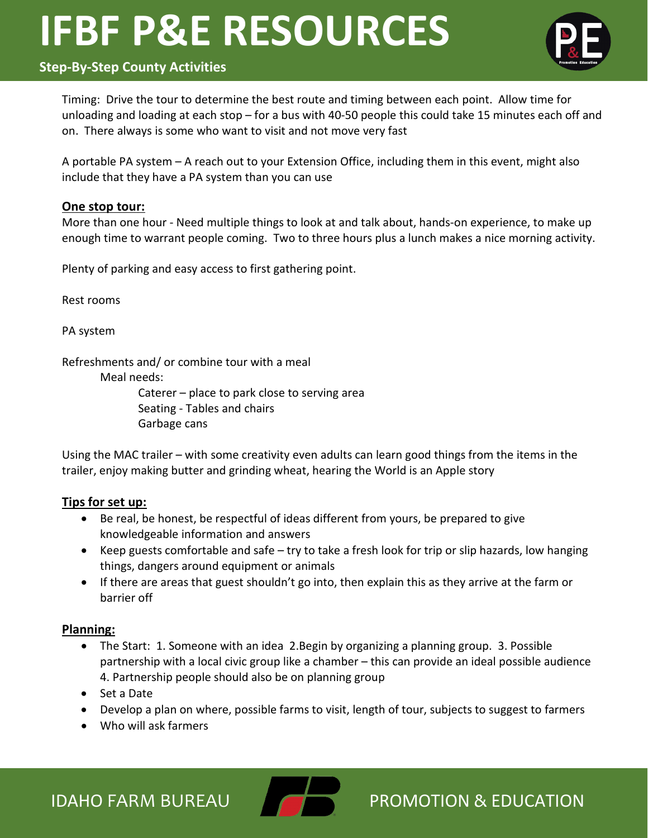# **Step-By-Step County Activities**

Timing: Drive the tour to determine the best route and timing between each point. Allow time for unloading and loading at each stop – for a bus with 40-50 people this could take 15 minutes each off and on. There always is some who want to visit and not move very fast

A portable PA system – A reach out to your Extension Office, including them in this event, might also include that they have a PA system than you can use

### **One stop tour:**

More than one hour - Need multiple things to look at and talk about, hands-on experience, to make up enough time to warrant people coming. Two to three hours plus a lunch makes a nice morning activity.

Plenty of parking and easy access to first gathering point.

Rest rooms

PA system

Refreshments and/ or combine tour with a meal

Meal needs:

Caterer – place to park close to serving area Seating - Tables and chairs Garbage cans

Using the MAC trailer – with some creativity even adults can learn good things from the items in the trailer, enjoy making butter and grinding wheat, hearing the World is an Apple story

### **Tips for set up:**

- Be real, be honest, be respectful of ideas different from yours, be prepared to give knowledgeable information and answers
- Keep guests comfortable and safe try to take a fresh look for trip or slip hazards, low hanging things, dangers around equipment or animals
- If there are areas that guest shouldn't go into, then explain this as they arrive at the farm or barrier off

#### **Planning:**

- The Start: 1. Someone with an idea 2. Begin by organizing a planning group. 3. Possible partnership with a local civic group like a chamber – this can provide an ideal possible audience 4. Partnership people should also be on planning group
- Set a Date
- Develop a plan on where, possible farms to visit, length of tour, subjects to suggest to farmers
- Who will ask farmers

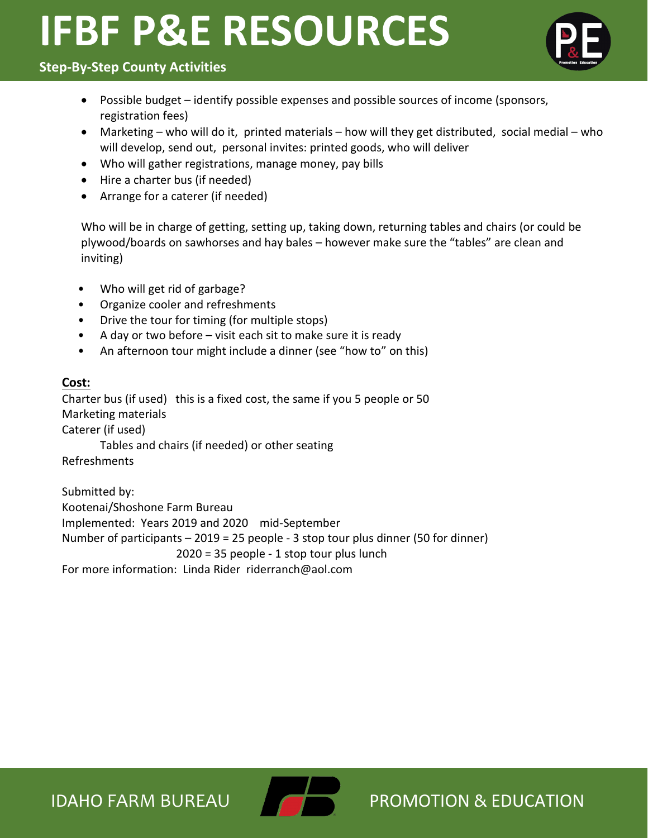

# **Step-By-Step County Activities**

- Possible budget identify possible expenses and possible sources of income (sponsors, registration fees)
- Marketing who will do it, printed materials how will they get distributed, social medial who will develop, send out, personal invites: printed goods, who will deliver
- Who will gather registrations, manage money, pay bills
- Hire a charter bus (if needed)
- Arrange for a caterer (if needed)

Who will be in charge of getting, setting up, taking down, returning tables and chairs (or could be plywood/boards on sawhorses and hay bales – however make sure the "tables" are clean and inviting)

- Who will get rid of garbage?
- Organize cooler and refreshments
- Drive the tour for timing (for multiple stops)
- A day or two before visit each sit to make sure it is ready
- An afternoon tour might include a dinner (see "how to" on this)

# **Cost:**

Charter bus (if used) this is a fixed cost, the same if you 5 people or 50 Marketing materials

Caterer (if used)

Tables and chairs (if needed) or other seating

Refreshments

Submitted by: Kootenai/Shoshone Farm Bureau Implemented: Years 2019 and 2020 mid-September Number of participants – 2019 = 25 people - 3 stop tour plus dinner (50 for dinner) 2020 = 35 people - 1 stop tour plus lunch For more information: Linda Rider riderranch@aol.com

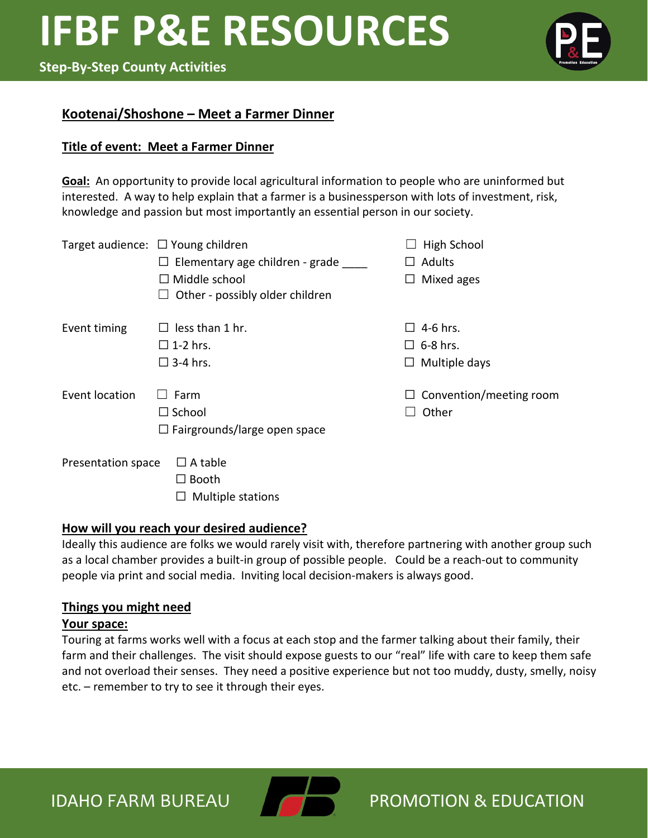#### **Step-By-Step County Activities**



### **Kootenai/Shoshone – Meet a Farmer Dinner**

#### **Title of event: Meet a Farmer Dinner**

**Goal:** An opportunity to provide local agricultural information to people who are uninformed but interested. A way to help explain that a farmer is a businessperson with lots of investment, risk, knowledge and passion but most importantly an essential person in our society.

|                    | Target audience: $\Box$ Young children<br>Elementary age children - grade<br>Middle school<br>$\perp$<br>Other - possibly older children | High School<br>$\Box$ Adults<br>Mixed ages<br>$\Box$          |
|--------------------|------------------------------------------------------------------------------------------------------------------------------------------|---------------------------------------------------------------|
| Event timing       | less than 1 hr.<br>$\square$ 1-2 hrs.<br>$\square$ 3-4 hrs.                                                                              | 4-6 hrs.<br>$\Box$<br>$\Box$ 6-8 hrs.<br>$\Box$ Multiple days |
| Event location     | Farm<br>$\Box$ School<br>$\Box$ Fairgrounds/large open space                                                                             | $\Box$ Convention/meeting room<br>Other                       |
| Presentation space | $\Box$ A table<br>Booth<br>Multiple stations                                                                                             |                                                               |

#### **How will you reach your desired audience?**

Ideally this audience are folks we would rarely visit with, therefore partnering with another group such as a local chamber provides a built-in group of possible people. Could be a reach-out to community people via print and social media. Inviting local decision-makers is always good.

#### **Things you might need**

#### **Your space:**

Touring at farms works well with a focus at each stop and the farmer talking about their family, their farm and their challenges. The visit should expose guests to our "real" life with care to keep them safe and not overload their senses. They need a positive experience but not too muddy, dusty, smelly, noisy etc. – remember to try to see it through their eyes.

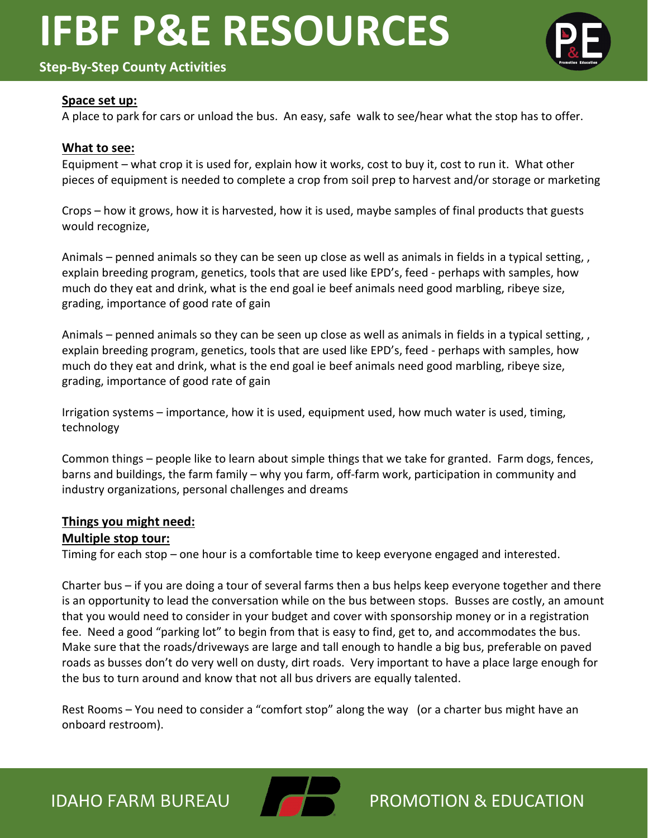# **Step-By-Step County Activities**



#### **Space set up:**

A place to park for cars or unload the bus. An easy, safe walk to see/hear what the stop has to offer.

#### **What to see:**

Equipment – what crop it is used for, explain how it works, cost to buy it, cost to run it. What other pieces of equipment is needed to complete a crop from soil prep to harvest and/or storage or marketing

Crops – how it grows, how it is harvested, how it is used, maybe samples of final products that guests would recognize,

Animals – penned animals so they can be seen up close as well as animals in fields in a typical setting, , explain breeding program, genetics, tools that are used like EPD's, feed - perhaps with samples, how much do they eat and drink, what is the end goal ie beef animals need good marbling, ribeye size, grading, importance of good rate of gain

Animals – penned animals so they can be seen up close as well as animals in fields in a typical setting, , explain breeding program, genetics, tools that are used like EPD's, feed - perhaps with samples, how much do they eat and drink, what is the end goal ie beef animals need good marbling, ribeye size, grading, importance of good rate of gain

Irrigation systems – importance, how it is used, equipment used, how much water is used, timing, technology

Common things – people like to learn about simple things that we take for granted. Farm dogs, fences, barns and buildings, the farm family – why you farm, off-farm work, participation in community and industry organizations, personal challenges and dreams

#### **Things you might need:**

#### **Multiple stop tour:**

Timing for each stop – one hour is a comfortable time to keep everyone engaged and interested.

Charter bus – if you are doing a tour of several farms then a bus helps keep everyone together and there is an opportunity to lead the conversation while on the bus between stops. Busses are costly, an amount that you would need to consider in your budget and cover with sponsorship money or in a registration fee. Need a good "parking lot" to begin from that is easy to find, get to, and accommodates the bus. Make sure that the roads/driveways are large and tall enough to handle a big bus, preferable on paved roads as busses don't do very well on dusty, dirt roads. Very important to have a place large enough for the bus to turn around and know that not all bus drivers are equally talented.

Rest Rooms – You need to consider a "comfort stop" along the way (or a charter bus might have an onboard restroom).

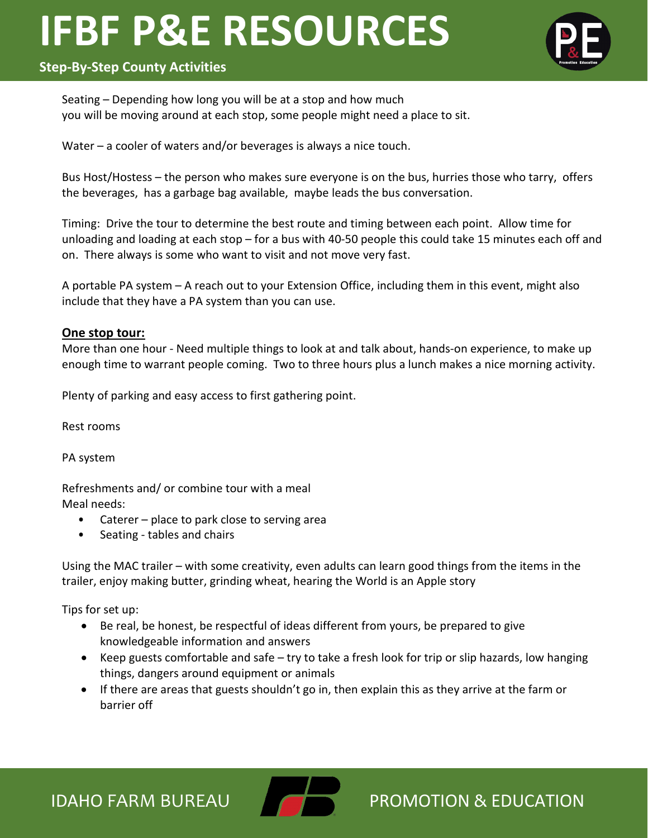# **Step-By-Step County Activities**

Seating – Depending how long you will be at a stop and how much you will be moving around at each stop, some people might need a place to sit.

Water – a cooler of waters and/or beverages is always a nice touch.

Bus Host/Hostess – the person who makes sure everyone is on the bus, hurries those who tarry, offers the beverages, has a garbage bag available, maybe leads the bus conversation.

Timing: Drive the tour to determine the best route and timing between each point. Allow time for unloading and loading at each stop – for a bus with 40-50 people this could take 15 minutes each off and on. There always is some who want to visit and not move very fast.

A portable PA system – A reach out to your Extension Office, including them in this event, might also include that they have a PA system than you can use.

#### **One stop tour:**

More than one hour - Need multiple things to look at and talk about, hands-on experience, to make up enough time to warrant people coming. Two to three hours plus a lunch makes a nice morning activity.

Plenty of parking and easy access to first gathering point.

Rest rooms

PA system

Refreshments and/ or combine tour with a meal Meal needs:

- Caterer place to park close to serving area
- Seating tables and chairs

Using the MAC trailer – with some creativity, even adults can learn good things from the items in the trailer, enjoy making butter, grinding wheat, hearing the World is an Apple story

Tips for set up:

- Be real, be honest, be respectful of ideas different from yours, be prepared to give knowledgeable information and answers
- Keep guests comfortable and safe try to take a fresh look for trip or slip hazards, low hanging things, dangers around equipment or animals
- If there are areas that guests shouldn't go in, then explain this as they arrive at the farm or barrier off